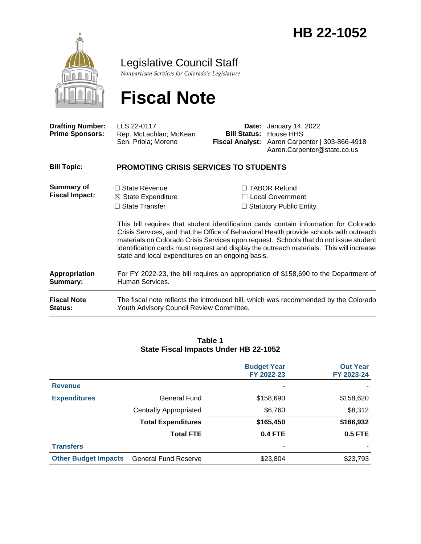

Legislative Council Staff

*Nonpartisan Services for Colorado's Legislature*

# **Fiscal Note**

| <b>Drafting Number:</b><br><b>Prime Sponsors:</b> | LLS 22-0117<br>Rep. McLachlan; McKean<br>Sen. Priola; Moreno                                                                        | Date: | January 14, 2022<br><b>Bill Status: House HHS</b><br>Fiscal Analyst: Aaron Carpenter   303-866-4918<br>Aaron.Carpenter@state.co.us                                                                                                                                                                                                                                                                                                                        |  |  |
|---------------------------------------------------|-------------------------------------------------------------------------------------------------------------------------------------|-------|-----------------------------------------------------------------------------------------------------------------------------------------------------------------------------------------------------------------------------------------------------------------------------------------------------------------------------------------------------------------------------------------------------------------------------------------------------------|--|--|
| <b>Bill Topic:</b>                                | <b>PROMOTING CRISIS SERVICES TO STUDENTS</b>                                                                                        |       |                                                                                                                                                                                                                                                                                                                                                                                                                                                           |  |  |
| Summary of<br><b>Fiscal Impact:</b>               | $\Box$ State Revenue<br>$\boxtimes$ State Expenditure<br>$\Box$ State Transfer<br>state and local expenditures on an ongoing basis. |       | $\Box$ TABOR Refund<br>$\Box$ Local Government<br>$\Box$ Statutory Public Entity<br>This bill requires that student identification cards contain information for Colorado<br>Crisis Services, and that the Office of Behavioral Health provide schools with outreach<br>materials on Colorado Crisis Services upon request. Schools that do not issue student<br>identification cards must request and display the outreach materials. This will increase |  |  |
| Appropriation<br>Summary:                         | For FY 2022-23, the bill requires an appropriation of \$158,690 to the Department of<br>Human Services.                             |       |                                                                                                                                                                                                                                                                                                                                                                                                                                                           |  |  |
| <b>Fiscal Note</b><br><b>Status:</b>              | The fiscal note reflects the introduced bill, which was recommended by the Colorado<br>Youth Advisory Council Review Committee.     |       |                                                                                                                                                                                                                                                                                                                                                                                                                                                           |  |  |

#### **Table 1 State Fiscal Impacts Under HB 22-1052**

|                             |                             | <b>Budget Year</b><br>FY 2022-23 | <b>Out Year</b><br>FY 2023-24 |
|-----------------------------|-----------------------------|----------------------------------|-------------------------------|
| <b>Revenue</b>              |                             | ٠                                |                               |
| <b>Expenditures</b>         | General Fund                | \$158,690                        | \$158,620                     |
|                             | Centrally Appropriated      | \$6,760                          | \$8,312                       |
|                             | <b>Total Expenditures</b>   | \$165,450                        | \$166,932                     |
|                             | <b>Total FTE</b>            | <b>0.4 FTE</b>                   | <b>0.5 FTE</b>                |
| <b>Transfers</b>            |                             | ۰                                |                               |
| <b>Other Budget Impacts</b> | <b>General Fund Reserve</b> | \$23,804                         | \$23,793                      |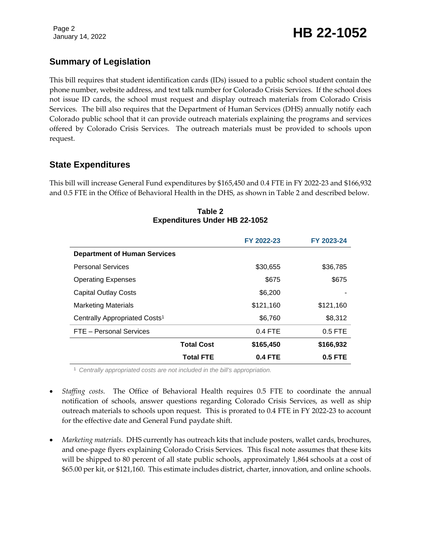## January 14, 2022 **HB 22-1052**

### **Summary of Legislation**

This bill requires that student identification cards (IDs) issued to a public school student contain the phone number, website address, and text talk number for Colorado Crisis Services. If the school does not issue ID cards, the school must request and display outreach materials from Colorado Crisis Services. The bill also requires that the Department of Human Services (DHS) annually notify each Colorado public school that it can provide outreach materials explaining the programs and services offered by Colorado Crisis Services. The outreach materials must be provided to schools upon request.

### **State Expenditures**

This bill will increase General Fund expenditures by \$165,450 and 0.4 FTE in FY 2022-23 and \$166,932 and 0.5 FTE in the Office of Behavioral Health in the DHS, as shown in Table 2 and described below.

|                                           |                   | FY 2022-23     | FY 2023-24 |
|-------------------------------------------|-------------------|----------------|------------|
| <b>Department of Human Services</b>       |                   |                |            |
| <b>Personal Services</b>                  |                   | \$30,655       | \$36,785   |
| <b>Operating Expenses</b>                 |                   | \$675          | \$675      |
| <b>Capital Outlay Costs</b>               |                   | \$6,200        |            |
| <b>Marketing Materials</b>                |                   | \$121,160      | \$121,160  |
| Centrally Appropriated Costs <sup>1</sup> |                   | \$6,760        | \$8,312    |
| FTE - Personal Services                   |                   | $0.4$ FTE      | $0.5$ FTE  |
|                                           | <b>Total Cost</b> | \$165,450      | \$166,932  |
|                                           | <b>Total FTE</b>  | <b>0.4 FTE</b> | 0.5 FTE    |

#### **Table 2 Expenditures Under HB 22-1052**

<sup>1</sup> *Centrally appropriated costs are not included in the bill's appropriation.*

- *Staffing costs.* The Office of Behavioral Health requires 0.5 FTE to coordinate the annual notification of schools, answer questions regarding Colorado Crisis Services, as well as ship outreach materials to schools upon request. This is prorated to 0.4 FTE in FY 2022-23 to account for the effective date and General Fund paydate shift.
- *Marketing materials.* DHS currently has outreach kits that include posters, wallet cards, brochures, and one-page flyers explaining Colorado Crisis Services. This fiscal note assumes that these kits will be shipped to 80 percent of all state public schools, approximately 1,864 schools at a cost of \$65.00 per kit, or \$121,160. This estimate includes district, charter, innovation, and online schools.